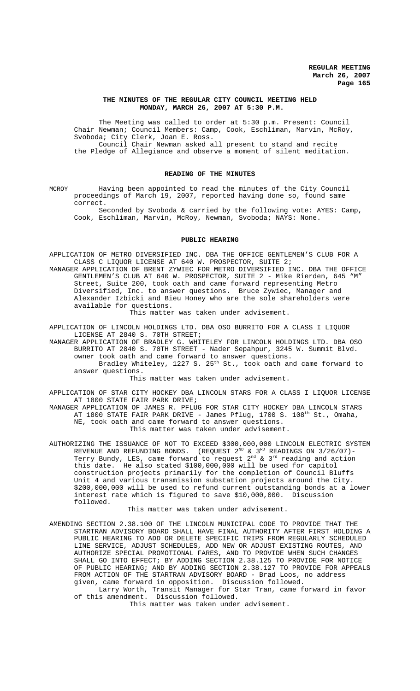### **THE MINUTES OF THE REGULAR CITY COUNCIL MEETING HELD MONDAY, MARCH 26, 2007 AT 5:30 P.M.**

The Meeting was called to order at 5:30 p.m. Present: Council Chair Newman; Council Members: Camp, Cook, Eschliman, Marvin, McRoy, Svoboda; City Clerk, Joan E. Ross. Council Chair Newman asked all present to stand and recite the Pledge of Allegiance and observe a moment of silent meditation.

# **READING OF THE MINUTES**

MCROY Having been appointed to read the minutes of the City Council proceedings of March 19, 2007, reported having done so, found same correct.

Seconded by Svoboda & carried by the following vote: AYES: Camp, Cook, Eschliman, Marvin, McRoy, Newman, Svoboda; NAYS: None.

#### **PUBLIC HEARING**

APPLICATION OF METRO DIVERSIFIED INC. DBA THE OFFICE GENTLEMEN'S CLUB FOR A CLASS C LIQUOR LICENSE AT 640 W. PROSPECTOR, SUITE 2; MANAGER APPLICATION OF BRENT ZYWIEC FOR METRO DIVERSIFIED INC. DBA THE OFFICE GENTLEMEN'S CLUB AT 640 W. PROSPECTOR, SUITE 2 - Mike Rierden, 645 "M" Street, Suite 200, took oath and came forward representing Metro Diversified, Inc. to answer questions. Bruce Zywiec, Manager and Alexander Izbicki and Bieu Honey who are the sole shareholders were available for questions.

This matter was taken under advisement.

APPLICATION OF LINCOLN HOLDINGS LTD. DBA OSO BURRITO FOR A CLASS I LIQUOR LICENSE AT 2840 S. 70TH STREET;

MANAGER APPLICATION OF BRADLEY G. WHITELEY FOR LINCOLN HOLDINGS LTD. DBA OSO BURRITO AT 2840 S. 70TH STREET - Nader Sepahpur, 3245 W. Summit Blvd. owner took oath and came forward to answer questions.

Bradley Whiteley, 1227 S. 25<sup>th</sup> St., took oath and came forward to answer questions.

This matter was taken under advisement.

APPLICATION OF STAR CITY HOCKEY DBA LINCOLN STARS FOR A CLASS I LIQUOR LICENSE AT 1800 STATE FAIR PARK DRIVE; MANAGER APPLICATION OF JAMES R. PFLUG FOR STAR CITY HOCKEY DBA LINCOLN STARS AT 1800 STATE FAIR PARK DRIVE - James Pflug, 1700 S. 108<sup>th</sup> St., Omaha,

NE, took oath and came forward to answer questions. This matter was taken under advisement.

AUTHORIZING THE ISSUANCE OF NOT TO EXCEED \$300,000,000 LINCOLN ELECTRIC SYSTEM REVENUE AND REFUNDING BONDS. (REQUEST  $2^\text{\tiny{ND}}$  &  $3^\text{\tiny{RD}}$  READINGS ON 3/26/07)-Terry Bundy, LES, came forward to request  $2^{\text{nd}}$  &  $3^{\text{rd}}$  reading and action this date. He also stated \$100,000,000 will be used for capitol construction projects primarily for the completion of Council Bluffs Unit 4 and various transmission substation projects around the City. \$200,000,000 will be used to refund current outstanding bonds at a lower interest rate which is figured to save \$10,000,000. Discussion followed.

This matter was taken under advisement.

AMENDING SECTION 2.38.100 OF THE LINCOLN MUNICIPAL CODE TO PROVIDE THAT THE STARTRAN ADVISORY BOARD SHALL HAVE FINAL AUTHORITY AFTER FIRST HOLDING A PUBLIC HEARING TO ADD OR DELETE SPECIFIC TRIPS FROM REGULARLY SCHEDULED LINE SERVICE, ADJUST SCHEDULES, ADD NEW OR ADJUST EXISTING ROUTES, AND AUTHORIZE SPECIAL PROMOTIONAL FARES, AND TO PROVIDE WHEN SUCH CHANGES SHALL GO INTO EFFECT; BY ADDING SECTION 2.38.125 TO PROVIDE FOR NOTICE OF PUBLIC HEARING; AND BY ADDING SECTION 2.38.127 TO PROVIDE FOR APPEALS FROM ACTION OF THE STARTRAN ADVISORY BOARD - Brad Loos, no address given, came forward in opposition. Discussion followed. Larry Worth, Transit Manager for Star Tran, came forward in favor of this amendment. Discussion followed.

This matter was taken under advisement.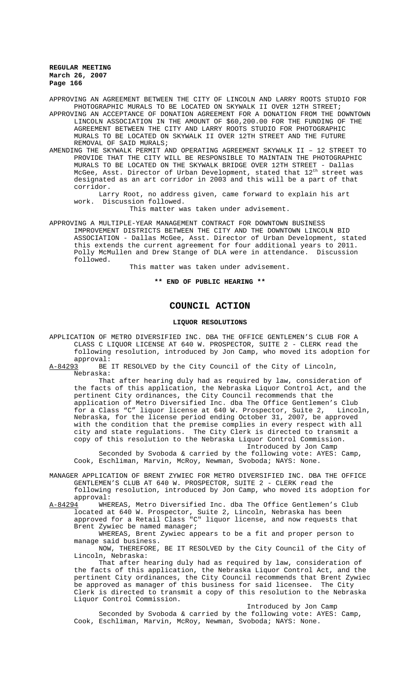APPROVING AN AGREEMENT BETWEEN THE CITY OF LINCOLN AND LARRY ROOTS STUDIO FOR PHOTOGRAPHIC MURALS TO BE LOCATED ON SKYWALK II OVER 12TH STREET;

APPROVING AN ACCEPTANCE OF DONATION AGREEMENT FOR A DONATION FROM THE DOWNTOWN LINCOLN ASSOCIATION IN THE AMOUNT OF \$60,200.00 FOR THE FUNDING OF THE AGREEMENT BETWEEN THE CITY AND LARRY ROOTS STUDIO FOR PHOTOGRAPHIC MURALS TO BE LOCATED ON SKYWALK II OVER 12TH STREET AND THE FUTURE REMOVAL OF SAID MURALS;

AMENDING THE SKYWALK PERMIT AND OPERATING AGREEMENT SKYWALK II – 12 STREET TO PROVIDE THAT THE CITY WILL BE RESPONSIBLE TO MAINTAIN THE PHOTOGRAPHIC MURALS TO BE LOCATED ON THE SKYWALK BRIDGE OVER 12TH STREET - Dallas McGee, Asst. Director of Urban Development, stated that 12<sup>th</sup> street was designated as an art corridor in 2003 and this will be a part of that corridor.

Larry Root, no address given, came forward to explain his art work. Discussion followed.

This matter was taken under advisement.

APPROVING A MULTIPLE-YEAR MANAGEMENT CONTRACT FOR DOWNTOWN BUSINESS IMPROVEMENT DISTRICTS BETWEEN THE CITY AND THE DOWNTOWN LINCOLN BID ASSOCIATION - Dallas McGee, Asst. Director of Urban Development, stated this extends the current agreement for four additional years to 2011. Polly McMullen and Drew Stange of DLA were in attendance. Discussion followed.

This matter was taken under advisement.

**\*\* END OF PUBLIC HEARING \*\***

# **COUNCIL ACTION**

### **LIQUOR RESOLUTIONS**

APPLICATION OF METRO DIVERSIFIED INC. DBA THE OFFICE GENTLEMEN'S CLUB FOR A CLASS C LIQUOR LICENSE AT 640 W. PROSPECTOR, SUITE 2 - CLERK read the following resolution, introduced by Jon Camp, who moved its adoption for approval:<br>A-84293 BE

BE IT RESOLVED by the City Council of the City of Lincoln Nebraska:

That after hearing duly had as required by law, consideration of the facts of this application, the Nebraska Liquor Control Act, and the pertinent City ordinances, the City Council recommends that the application of Metro Diversified Inc. dba The Office Gentlemen's Club<br>for a Class "C" liquor license at 640 W. Prospector, Suite 2. Lincoln. for a Class "C" liquor license at 640 W. Prospector, Suite 2, Lincoln, Nebraska, for the license period ending October 31, 2007, be approved with the condition that the premise complies in every respect with all city and state regulations. The City Clerk is directed to transmit a copy of this resolution to the Nebraska Liquor Control Commission. Introduced by Jon Camp

Seconded by Svoboda & carried by the following vote: AYES: Camp, Cook, Eschliman, Marvin, McRoy, Newman, Svoboda; NAYS: None.

MANAGER APPLICATION OF BRENT ZYWIEC FOR METRO DIVERSIFIED INC. DBA THE OFFICE GENTLEMEN'S CLUB AT 640 W. PROSPECTOR, SUITE 2 - CLERK read the following resolution, introduced by Jon Camp, who moved its adoption for

approval:<br>A-84294 WHE WHEREAS, Metro Diversified Inc. dba The Office Gentlemen's Club located at 640 W. Prospector, Suite 2, Lincoln, Nebraska has been approved for a Retail Class "C" liquor license, and now requests that Brent Zywiec be named manager;

WHEREAS, Brent Zywiec appears to be a fit and proper person to manage said business.

NOW, THEREFORE, BE IT RESOLVED by the City Council of the City of Lincoln, Nebraska:

That after hearing duly had as required by law, consideration of the facts of this application, the Nebraska Liquor Control Act, and the pertinent City ordinances, the City Council recommends that Brent Zywiec be approved as manager of this business for said licensee. The City Clerk is directed to transmit a copy of this resolution to the Nebraska Liquor Control Commission.

Introduced by Jon Camp

Seconded by Svoboda & carried by the following vote: AYES: Camp, Cook, Eschliman, Marvin, McRoy, Newman, Svoboda; NAYS: None.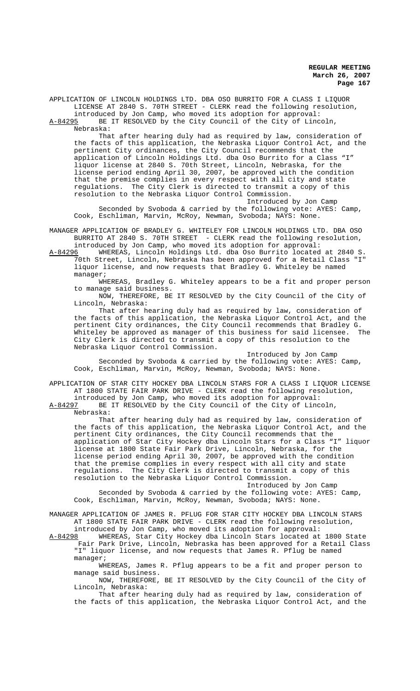APPLICATION OF LINCOLN HOLDINGS LTD. DBA OSO BURRITO FOR A CLASS I LIQUOR LICENSE AT 2840 S. 70TH STREET - CLERK read the following resolution, introduced by Jon Camp, who moved its adoption for approval:

A-84295 BE IT RESOLVED by the City Council of the City of Lincoln, Nebraska:

That after hearing duly had as required by law, consideration of the facts of this application, the Nebraska Liquor Control Act, and the pertinent City ordinances, the City Council recommends that the application of Lincoln Holdings Ltd. dba Oso Burrito for a Class "I" liquor license at 2840 S. 70th Street, Lincoln, Nebraska, for the license period ending April 30, 2007, be approved with the condition that the premise complies in every respect with all city and state regulations. The City Clerk is directed to transmit a copy of this resolution to the Nebraska Liquor Control Commission.

Introduced by Jon Camp Seconded by Svoboda & carried by the following vote: AYES: Camp, Cook, Eschliman, Marvin, McRoy, Newman, Svoboda; NAYS: None.

MANAGER APPLICATION OF BRADLEY G. WHITELEY FOR LINCOLN HOLDINGS LTD. DBA OSO BURRITO AT 2840 S. 70TH STREET - CLERK read the following resolution, introduced by Jon Camp, who moved its adoption for approval:

A-84296 WHEREAS, Lincoln Holdings Ltd. dba Oso Burrito located at 2840 S. 70th Street, Lincoln, Nebraska has been approved for a Retail Class "I" liquor license, and now requests that Bradley G. Whiteley be named manager;

WHEREAS, Bradley G. Whiteley appears to be a fit and proper person to manage said business.

NOW, THEREFORE, BE IT RESOLVED by the City Council of the City of Lincoln, Nebraska:

That after hearing duly had as required by law, consideration of the facts of this application, the Nebraska Liquor Control Act, and the pertinent City ordinances, the City Council recommends that Bradley G. Whiteley be approved as manager of this business for said licensee. The City Clerk is directed to transmit a copy of this resolution to the Nebraska Liquor Control Commission.

Introduced by Jon Camp Seconded by Svoboda & carried by the following vote: AYES: Camp, Cook, Eschliman, Marvin, McRoy, Newman, Svoboda; NAYS: None.

APPLICATION OF STAR CITY HOCKEY DBA LINCOLN STARS FOR A CLASS I LIQUOR LICENSE AT 1800 STATE FAIR PARK DRIVE - CLERK read the following resolution,

introduced by Jon Camp, who moved its adoption for approval:<br>A-84297 BE IT RESOLVED by the City Council of the City of Linc BE IT RESOLVED by the City Council of the City of Lincoln, Nebraska:

That after hearing duly had as required by law, consideration of the facts of this application, the Nebraska Liquor Control Act, and the pertinent City ordinances, the City Council recommends that the application of Star City Hockey dba Lincoln Stars for a Class "I" liquor license at 1800 State Fair Park Drive, Lincoln, Nebraska, for the license period ending April 30, 2007, be approved with the condition that the premise complies in every respect with all city and state regulations. The City Clerk is directed to transmit a copy of this resolution to the Nebraska Liquor Control Commission.

Introduced by Jon Camp Seconded by Svoboda & carried by the following vote: AYES: Camp, Cook, Eschliman, Marvin, McRoy, Newman, Svoboda; NAYS: None.

MANAGER APPLICATION OF JAMES R. PFLUG FOR STAR CITY HOCKEY DBA LINCOLN STARS AT 1800 STATE FAIR PARK DRIVE - CLERK read the following resolution, introduced by Jon Camp, who moved its adoption for approval:

A-84298 WHEREAS, Star City Hockey dba Lincoln Stars located at 1800 State Fair Park Drive, Lincoln, Nebraska has been approved for a Retail Class "I" liquor license, and now requests that James R. Pflug be named manager;

WHEREAS, James R. Pflug appears to be a fit and proper person to manage said business.

NOW, THEREFORE, BE IT RESOLVED by the City Council of the City of Lincoln, Nebraska:

That after hearing duly had as required by law, consideration of the facts of this application, the Nebraska Liquor Control Act, and the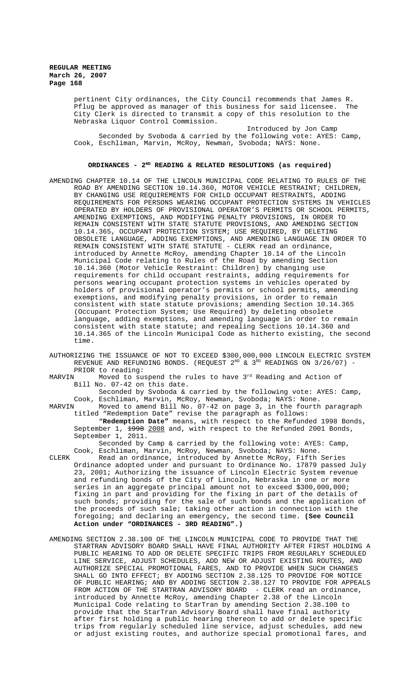> pertinent City ordinances, the City Council recommends that James R. Pflug be approved as manager of this business for said licensee. The City Clerk is directed to transmit a copy of this resolution to the Nebraska Liquor Control Commission.

Introduced by Jon Camp Seconded by Svoboda & carried by the following vote: AYES: Camp, Cook, Eschliman, Marvin, McRoy, Newman, Svoboda; NAYS: None.

### ORDINANCES - 2<sup>ND</sup> READING & RELATED RESOLUTIONS (as required)

- AMENDING CHAPTER 10.14 OF THE LINCOLN MUNICIPAL CODE RELATING TO RULES OF THE ROAD BY AMENDING SECTION 10.14.360, MOTOR VEHICLE RESTRAINT; CHILDREN, BY CHANGING USE REQUIREMENTS FOR CHILD OCCUPANT RESTRAINTS, ADDING REQUIREMENTS FOR PERSONS WEARING OCCUPANT PROTECTION SYSTEMS IN VEHICLES OPERATED BY HOLDERS OF PROVISIONAL OPERATOR'S PERMITS OR SCHOOL PERMITS, AMENDING EXEMPTIONS, AND MODIFYING PENALTY PROVISIONS, IN ORDER TO REMAIN CONSISTENT WITH STATE STATUTE PROVISIONS, AND AMENDING SECTION 10.14.365, OCCUPANT PROTECTION SYSTEM; USE REQUIRED, BY DELETING OBSOLETE LANGUAGE, ADDING EXEMPTIONS, AND AMENDING LANGUAGE IN ORDER TO REMAIN CONSISTENT WITH STATE STATUTE - CLERK read an ordinance, introduced by Annette McRoy, amending Chapter 10.14 of the Lincoln Municipal Code relating to Rules of the Road by amending Section 10.14.360 (Motor Vehicle Restraint: Children) by changing use requirements for child occupant restraints, adding requirements for persons wearing occupant protection systems in vehicles operated by holders of provisional operator's permits or school permits, amending exemptions, and modifying penalty provisions, in order to remain consistent with state statute provisions; amending Section 10.14.365 (Occupant Protection System; Use Required) by deleting obsolete language, adding exemptions, and amending language in order to remain consistent with state statute; and repealing Sections 10.14.360 and 10.14.365 of the Lincoln Municipal Code as hitherto existing, the second time.
- AUTHORIZING THE ISSUANCE OF NOT TO EXCEED \$300,000,000 LINCOLN ELECTRIC SYSTEM REVENUE AND REFUNDING BONDS. (REQUEST  $2^{ND}$  &  $3^{RD}$  READINGS ON 3/26/07) -PRIOR to reading:<br>MARVIN Moved to su
- Moved to suspend the rules to have  $3<sup>rd</sup>$  Reading and Action of Bill No. 07-42 on this date.

Seconded by Svoboda & carried by the following vote: AYES: Camp, Cook, Eschliman, Marvin, McRoy, Newman, Svoboda; NAYS: None.<br>MARVIN Moved to amend Bill No. 07-42 on page 3, in the fourth

Moved to amend Bill No. 07-42 on page 3, in the fourth paragraph titled "Redemption Date" revise the paragraph as follows:

"**Redemption Date"** means, with respect to the Refunded 1998 Bonds, September 1, <del>1998</del> 2008 and, with respect to the Refunded 2001 Bonds, September 1, 2011.

Seconded by Camp & carried by the following vote: AYES: Camp, Cook, Eschliman, Marvin, McRoy, Newman, Svoboda; NAYS: None.

- CLERK Read an ordinance, introduced by Annette McRoy, Fifth Series Ordinance adopted under and pursuant to Ordinance No.  $17879$  passed July 23, 2001; Authorizing the issuance of Lincoln Electric System revenue and refunding bonds of the City of Lincoln, Nebraska in one or more series in an aggregate principal amount not to exceed \$300,000,000; fixing in part and providing for the fixing in part of the details of such bonds; providing for the sale of such bonds and the application of the proceeds of such sale; taking other action in connection with the foregoing; and declaring an emergency, the second time. **(See Council Action under "ORDINANCES - 3RD READING".)**
- AMENDING SECTION 2.38.100 OF THE LINCOLN MUNICIPAL CODE TO PROVIDE THAT THE STARTRAN ADVISORY BOARD SHALL HAVE FINAL AUTHORITY AFTER FIRST HOLDING A PUBLIC HEARING TO ADD OR DELETE SPECIFIC TRIPS FROM REGULARLY SCHEDULED LINE SERVICE, ADJUST SCHEDULES, ADD NEW OR ADJUST EXISTING ROUTES, AND AUTHORIZE SPECIAL PROMOTIONAL FARES, AND TO PROVIDE WHEN SUCH CHANGES SHALL GO INTO EFFECT; BY ADDING SECTION 2.38.125 TO PROVIDE FOR NOTICE OF PUBLIC HEARING; AND BY ADDING SECTION 2.38.127 TO PROVIDE FOR APPEALS FROM ACTION OF THE STARTRAN ADVISORY BOARD - CLERK read an ordinance, introduced by Annette McRoy, amending Chapter 2.38 of the Lincoln Municipal Code relating to StarTran by amending Section 2.38.100 to provide that the StarTran Advisory Board shall have final authority after first holding a public hearing thereon to add or delete specific trips from regularly scheduled line service, adjust schedules, add new or adjust existing routes, and authorize special promotional fares, and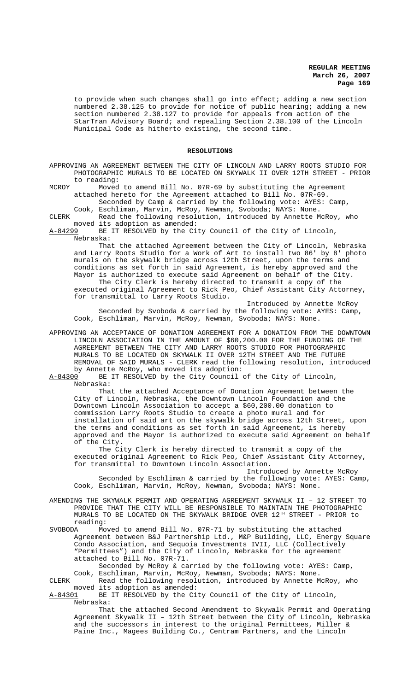to provide when such changes shall go into effect; adding a new section numbered 2.38.125 to provide for notice of public hearing; adding a new section numbered 2.38.127 to provide for appeals from action of the StarTran Advisory Board; and repealing Section 2.38.100 of the Lincoln Municipal Code as hitherto existing, the second time.

#### **RESOLUTIONS**

APPROVING AN AGREEMENT BETWEEN THE CITY OF LINCOLN AND LARRY ROOTS STUDIO FOR PHOTOGRAPHIC MURALS TO BE LOCATED ON SKYWALK II OVER 12TH STREET - PRIOR to reading:

MCROY Moved to amend Bill No. 07R-69 by substituting the Agreement attached hereto for the Agreement attached to Bill No. 07R-69. Seconded by Camp & carried by the following vote: AYES: Camp,

Cook, Eschliman, Marvin, McRoy, Newman, Svoboda; NAYS: None.

CLERK Read the following resolution, introduced by Annette McRoy, who moved its adoption as amended:<br>A-84299 BE IT RESOLVED by the Ci

BE IT RESOLVED by the City Council of the City of Lincoln, Nebraska:

That the attached Agreement between the City of Lincoln, Nebraska and Larry Roots Studio for a Work of Art to install two 86' by 8' photo murals on the skywalk bridge across 12th Street, upon the terms and conditions as set forth in said Agreement, is hereby approved and the Mayor is authorized to execute said Agreement on behalf of the City. The City Clerk is hereby directed to transmit a copy of the

executed original Agreement to Rick Peo, Chief Assistant City Attorney, for transmittal to Larry Roots Studio.

Introduced by Annette McRoy Seconded by Svoboda & carried by the following vote: AYES: Camp, Cook, Eschliman, Marvin, McRoy, Newman, Svoboda; NAYS: None.

APPROVING AN ACCEPTANCE OF DONATION AGREEMENT FOR A DONATION FROM THE DOWNTOWN LINCOLN ASSOCIATION IN THE AMOUNT OF \$60,200.00 FOR THE FUNDING OF THE AGREEMENT BETWEEN THE CITY AND LARRY ROOTS STUDIO FOR PHOTOGRAPHIC MURALS TO BE LOCATED ON SKYWALK II OVER 12TH STREET AND THE FUTURE REMOVAL OF SAID MURALS - CLERK read the following resolution, introduced by Annette McRoy, who moved its adoption:

A-84300 BE IT RESOLVED by the City Council of the City of Lincoln, Nebraska:

That the attached Acceptance of Donation Agreement between the City of Lincoln, Nebraska, the Downtown Lincoln Foundation and the Downtown Lincoln Association to accept a \$60,200.00 donation to commission Larry Roots Studio to create a photo mural and for installation of said art on the skywalk bridge across 12th Street, upon the terms and conditions as set forth in said Agreement, is hereby approved and the Mayor is authorized to execute said Agreement on behalf of the City.

The City Clerk is hereby directed to transmit a copy of the executed original Agreement to Rick Peo, Chief Assistant City Attorney, for transmittal to Downtown Lincoln Association.

Introduced by Annette McRoy Seconded by Eschliman & carried by the following vote: AYES: Camp, Cook, Eschliman, Marvin, McRoy, Newman, Svoboda; NAYS: None.

AMENDING THE SKYWALK PERMIT AND OPERATING AGREEMENT SKYWALK II – 12 STREET TO PROVIDE THAT THE CITY WILL BE RESPONSIBLE TO MAINTAIN THE PHOTOGRAPHIC MURALS TO BE LOCATED ON THE SKYWALK BRIDGE OVER  $12^{\texttt{TH}}$  STREET - PRIOR to reading:<br>SVOBODA Mo

SVOBODA Moved to amend Bill No. 07R-71 by substituting the attached Agreement between B&J Partnership Ltd., M&P Building, LLC, Energy Square Condo Association, and Sequoia Investments IVII, LLC (Collectively "Permittees") and the City of Lincoln, Nebraska for the agreement attached to Bill No. 07R-71.

Seconded by McRoy & carried by the following vote: AYES: Camp, Cook, Eschliman, Marvin, McRoy, Newman, Svoboda; NAYS: None. CLERK Read the following resolution, introduced by Annette McRoy, who

moved its adoption as amended:<br>A-84301 BE IT RESOLVED by the Ci

BE IT RESOLVED by the City Council of the City of Lincoln, Nebraska:

That the attached Second Amendment to Skywalk Permit and Operating Agreement Skywalk II – 12th Street between the City of Lincoln, Nebraska and the successors in interest to the original Permittees, Miller & Paine Inc., Magees Building Co., Centram Partners, and the Lincoln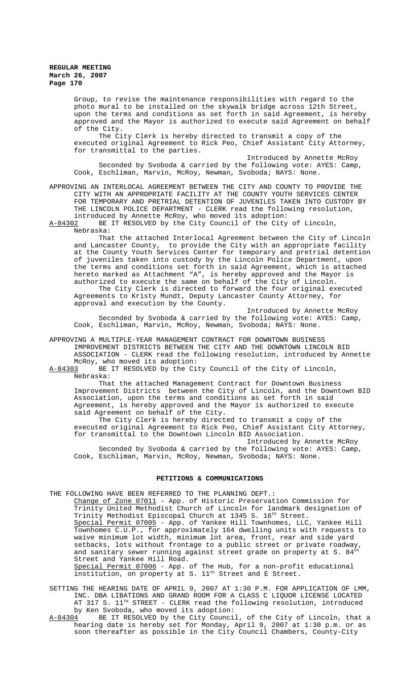Group, to revise the maintenance responsibilities with regard to the photo mural to be installed on the skywalk bridge across 12th Street, upon the terms and conditions as set forth in said Agreement, is hereby approved and the Mayor is authorized to execute said Agreement on behalf of the City.

The City Clerk is hereby directed to transmit a copy of the executed original Agreement to Rick Peo, Chief Assistant City Attorney, for transmittal to the parties.

Introduced by Annette McRoy Seconded by Svoboda & carried by the following vote: AYES: Camp, Cook, Eschliman, Marvin, McRoy, Newman, Svoboda; NAYS: None.

APPROVING AN INTERLOCAL AGREEMENT BETWEEN THE CITY AND COUNTY TO PROVIDE THE CITY WITH AN APPROPRIATE FACILITY AT THE COUNTY YOUTH SERVICES CENTER FOR TEMPORARY AND PRETRIAL DETENTION OF JUVENILES TAKEN INTO CUSTODY BY THE LINCOLN POLICE DEPARTMENT - CLERK read the following resolution, introduced by Annette McRoy, who moved its adoption:<br>A-84302 BE IT RESOLVED by the City Council of the City

BE IT RESOLVED by the City Council of the City of Lincoln, Nebraska:

That the attached Interlocal Agreement between the City of Lincoln and Lancaster County, to provide the City with an appropriate facility at the County Youth Services Center for temporary and pretrial detention of juveniles taken into custody by the Lincoln Police Department, upon the terms and conditions set forth in said Agreement, which is attached hereto marked as Attachment "A", is hereby approved and the Mayor is authorized to execute the same on behalf of the City of Lincoln.

The City Clerk is directed to forward the four original executed Agreements to Kristy Mundt, Deputy Lancaster County Attorney, for approval and execution by the County.

Introduced by Annette McRoy Seconded by Svoboda & carried by the following vote: AYES: Camp, Cook, Eschliman, Marvin, McRoy, Newman, Svoboda; NAYS: None.

APPROVING A MULTIPLE-YEAR MANAGEMENT CONTRACT FOR DOWNTOWN BUSINESS IMPROVEMENT DISTRICTS BETWEEN THE CITY AND THE DOWNTOWN LINCOLN BID ASSOCIATION - CLERK read the following resolution, introduced by Annette

McRoy, who moved its adoption:<br>A-84303 BE IT RESOLVED by the Ci BE IT RESOLVED by the City Council of the City of Lincoln, Nebraska:

That the attached Management Contract for Downtown Business Improvement Districts between the City of Lincoln, and the Downtown BID Association, upon the terms and conditions as set forth in said Agreement, is hereby approved and the Mayor is authorized to execute said Agreement on behalf of the City.

The City Clerk is hereby directed to transmit a copy of the executed original Agreement to Rick Peo, Chief Assistant City Attorney, for transmittal to the Downtown Lincoln BID Association.

Introduced by Annette McRoy Seconded by Svoboda & carried by the following vote: AYES: Camp, Cook, Eschliman, Marvin, McRoy, Newman, Svoboda; NAYS: None.

### **PETITIONS & COMMUNICATIONS**

THE FOLLOWING HAVE BEEN REFERRED TO THE PLANNING DEPT.:

Change of Zone 07011 - App. of Historic Preservation Commission for Trinity United Methodist Church of Lincoln for landmark designation of Trinity Methodist Episcopal Church at 1345 S. 16<sup>th</sup> Street. Special Permit 07005 - App. of Yankee Hill Townhomes, LLC, Yankee Hill Townhomes C.U.P., for approximately 164 dwelling units with requests to waive minimum lot width, minimum lot area, front, rear and side yard waive minimum for widen, minimum for the first street or private roadway,<br>setbacks, lots without frontage to a public street or private roadway, and sanitary sewer running against street grade on property at S.  $84^{tl}$ Street and Yankee Hill Road.

Special Permit 07006 - App. of The Hub, for a non-profit educational institution, on property at S. 11<sup>th</sup> Street and E Street.

SETTING THE HEARING DATE OF APRIL 9, 2007 AT 1:30 P.M. FOR APPLICATION OF LMM, INC. DBA LIBATIONS AND GRAND ROOM FOR A CLASS C LIQUOR LICENSE LOCATED AT 317 S. 11TH STREET - CLERK read the following resolution, introduced by Ken Svoboda, who moved its adoption:<br>A-84304 BE IT RESOLVED by the City Counci

BE IT RESOLVED by the City Council, of the City of Lincoln, that a hearing date is hereby set for Monday, April 9, 2007 at 1:30 p.m. or as soon thereafter as possible in the City Council Chambers, County-City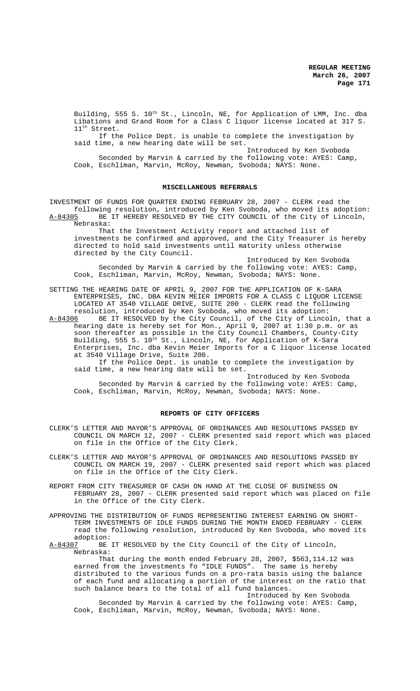Building, 555 S.  $10^{\rm th}$  St., Lincoln, NE, for Application of LMM, Inc. dba Libations and Grand Room for a Class C liquor license located at 317 S. 11<sup>th</sup> Street.

If the Police Dept. is unable to complete the investigation by said time, a new hearing date will be set.

Introduced by Ken Svoboda Seconded by Marvin & carried by the following vote: AYES: Camp, Cook, Eschliman, Marvin, McRoy, Newman, Svoboda; NAYS: None.

#### **MISCELLANEOUS REFERRALS**

INVESTMENT OF FUNDS FOR QUARTER ENDING FEBRUARY 28, 2007 - CLERK read the following resolution, introduced by Ken Svoboda, who moved its adoption: BE IT HEREBY RESOLVED BY THE CITY COUNCIL of the City of Lincoln, Nebraska:

That the Investment Activity report and attached list of investments be confirmed and approved, and the City Treasurer is hereby directed to hold said investments until maturity unless otherwise directed by the City Council.

Introduced by Ken Svoboda Seconded by Marvin & carried by the following vote: AYES: Camp, Cook, Eschliman, Marvin, McRoy, Newman, Svoboda; NAYS: None.

SETTING THE HEARING DATE OF APRIL 9, 2007 FOR THE APPLICATION OF K-SARA ENTERPRISES, INC. DBA KEVIN MEIER IMPORTS FOR A CLASS C LIQUOR LICENSE LOCATED AT 3540 VILLAGE DRIVE, SUITE 200 - CLERK read the following resolution, introduced by Ken Svoboda, who moved its adoption:<br>A-84306 BE IT RESOLVED by the City Council, of the City of Linco

A-84306 BE IT RESOLVED by the City Council, of the City of Lincoln, that a hearing date is hereby set for Mon., April 9, 2007 at 1:30 p.m. or as soon thereafter as possible in the City Council Chambers, County-City Building, 555 S. 10<sup>th</sup> St., Lincoln, NE, for Application of K-Sara Enterprises, Inc. dba Kevin Meier Imports for a C liquor license located at 3540 Village Drive, Suite 200.

If the Police Dept. is unable to complete the investigation by said time, a new hearing date will be set.

Introduced by Ken Svoboda Seconded by Marvin & carried by the following vote: AYES: Camp, Cook, Eschliman, Marvin, McRoy, Newman, Svoboda; NAYS: None.

### **REPORTS OF CITY OFFICERS**

- CLERK'S LETTER AND MAYOR'S APPROVAL OF ORDINANCES AND RESOLUTIONS PASSED BY COUNCIL ON MARCH 12, 2007 - CLERK presented said report which was placed on file in the Office of the City Clerk.
- CLERK'S LETTER AND MAYOR'S APPROVAL OF ORDINANCES AND RESOLUTIONS PASSED BY COUNCIL ON MARCH 19, 2007 - CLERK presented said report which was placed on file in the Office of the City Clerk.
- REPORT FROM CITY TREASURER OF CASH ON HAND AT THE CLOSE OF BUSINESS ON FEBRUARY 28, 2007 - CLERK presented said report which was placed on file in the Office of the City Clerk.
- APPROVING THE DISTRIBUTION OF FUNDS REPRESENTING INTEREST EARNING ON SHORT-TERM INVESTMENTS OF IDLE FUNDS DURING THE MONTH ENDED FEBRUARY - CLERK read the following resolution, introduced by Ken Svoboda, who moved its adoption:<br>A-84307 BE
- BE IT RESOLVED by the City Council of the City of Lincoln, Nebraska:

That during the month ended February 28, 2007, \$563,114.12 was earned from the investments fo "IDLE FUNDS". The same is hereby distributed to the various funds on a pro-rata basis using the balance of each fund and allocating a portion of the interest on the ratio that such balance bears to the total of all fund balances.

Introduced by Ken Svoboda Seconded by Marvin & carried by the following vote: AYES: Camp, Cook, Eschliman, Marvin, McRoy, Newman, Svoboda; NAYS: None.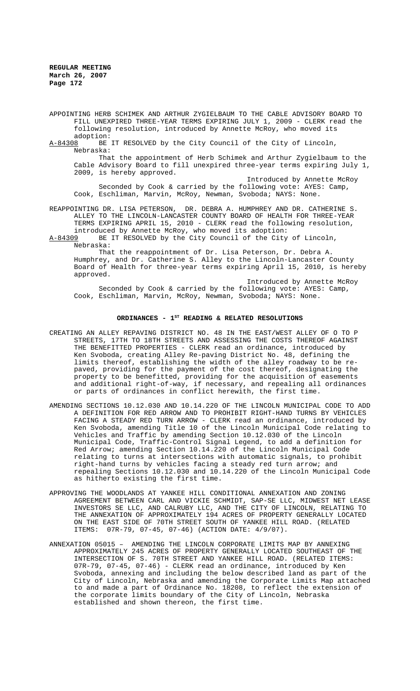- APPOINTING HERB SCHIMEK AND ARTHUR ZYGIELBAUM TO THE CABLE ADVISORY BOARD TO FILL UNEXPIRED THREE-YEAR TERMS EXPIRING JULY 1, 2009 - CLERK read the following resolution, introduced by Annette McRoy, who moved its
- adoption:<br>A-84308 BE BE IT RESOLVED by the City Council of the City of Lincoln, Nebraska:

That the appointment of Herb Schimek and Arthur Zygielbaum to the Cable Advisory Board to fill unexpired three-year terms expiring July 1, 2009, is hereby approved.

Introduced by Annette McRoy Seconded by Cook & carried by the following vote: AYES: Camp, Cook, Eschliman, Marvin, McRoy, Newman, Svoboda; NAYS: None.

REAPPOINTING DR. LISA PETERSON, DR. DEBRA A. HUMPHREY AND DR. CATHERINE S. ALLEY TO THE LINCOLN-LANCASTER COUNTY BOARD OF HEALTH FOR THREE-YEAR TERMS EXPIRING APRIL 15, 2010 - CLERK read the following resolution, introduced by Annette McRoy, who moved its adoption:<br>A-84309 BE IT RESOLVED by the City Council of the City

BE IT RESOLVED by the City Council of the City of Lincoln, Nebraska:

That the reappointment of Dr. Lisa Peterson, Dr. Debra A. Humphrey, and Dr. Catherine S. Alley to the Lincoln-Lancaster County Board of Health for three-year terms expiring April 15, 2010, is hereby approved.

Introduced by Annette McRoy Seconded by Cook & carried by the following vote: AYES: Camp, Cook, Eschliman, Marvin, McRoy, Newman, Svoboda; NAYS: None.

### ORDINANCES - 1<sup>st</sup> READING & RELATED RESOLUTIONS

- CREATING AN ALLEY REPAVING DISTRICT NO. 48 IN THE EAST/WEST ALLEY OF O TO P STREETS, 17TH TO 18TH STREETS AND ASSESSING THE COSTS THEREOF AGAINST THE BENEFITTED PROPERTIES - CLERK read an ordinance, introduced by Ken Svoboda, creating Alley Re-paving District No. 48, defining the limits thereof, establishing the width of the alley roadway to be repaved, providing for the payment of the cost thereof, designating the property to be benefitted, providing for the acquisition of easements and additional right-of-way, if necessary, and repealing all ordinances or parts of ordinances in conflict herewith, the first time.
- AMENDING SECTIONS 10.12.030 AND 10.14.220 OF THE LINCOLN MUNICIPAL CODE TO ADD A DEFINITION FOR RED ARROW AND TO PROHIBIT RIGHT-HAND TURNS BY VEHICLES FACING A STEADY RED TURN ARROW - CLERK read an ordinance, introduced by Ken Svoboda, amending Title 10 of the Lincoln Municipal Code relating to Vehicles and Traffic by amending Section 10.12.030 of the Lincoln Municipal Code, Traffic-Control Signal Legend, to add a definition for Red Arrow; amending Section 10.14.220 of the Lincoln Municipal Code relating to turns at intersections with automatic signals, to prohibit right-hand turns by vehicles facing a steady red turn arrow; and repealing Sections 10.12.030 and 10.14.220 of the Lincoln Municipal Code as hitherto existing the first time.
- APPROVING THE WOODLANDS AT YANKEE HILL CONDITIONAL ANNEXATION AND ZONING AGREEMENT BETWEEN CARL AND VICKIE SCHMIDT, SAP-SE LLC, MIDWEST NET LEASE INVESTORS SE LLC, AND CALRUBY LLC, AND THE CITY OF LINCOLN, RELATING TO THE ANNEXATION OF APPROXIMATELY 194 ACRES OF PROPERTY GENERALLY LOCATED ON THE EAST SIDE OF 70TH STREET SOUTH OF YANKEE HILL ROAD. (RELATED ITEMS: 07R-79, 07-45, 07-46) (ACTION DATE: 4/9/07).
- ANNEXATION 05015 AMENDING THE LINCOLN CORPORATE LIMITS MAP BY ANNEXING APPROXIMATELY 245 ACRES OF PROPERTY GENERALLY LOCATED SOUTHEAST OF THE INTERSECTION OF S. 70TH STREET AND YANKEE HILL ROAD. (RELATED ITEMS: 07R-79, 07-45, 07-46) - CLERK read an ordinance, introduced by Ken Svoboda, annexing and including the below described land as part of the City of Lincoln, Nebraska and amending the Corporate Limits Map attached to and made a part of Ordinance No. 18208, to reflect the extension of the corporate limits boundary of the City of Lincoln, Nebraska established and shown thereon, the first time.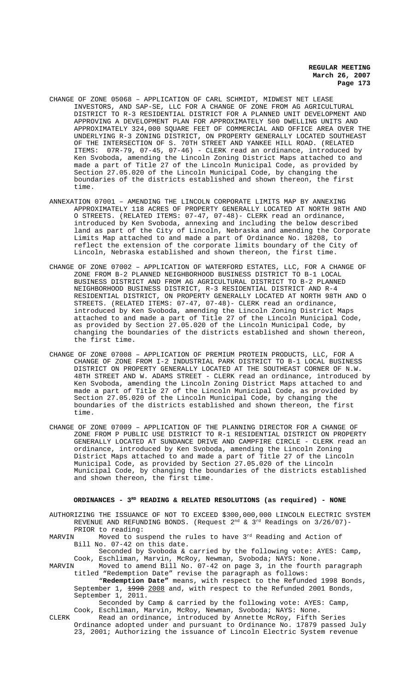- CHANGE OF ZONE 05068 APPLICATION OF CARL SCHMIDT, MIDWEST NET LEASE INVESTORS, AND SAP-SE, LLC FOR A CHANGE OF ZONE FROM AG AGRICULTURAL DISTRICT TO R-3 RESIDENTIAL DISTRICT FOR A PLANNED UNIT DEVELOPMENT AND APPROVING A DEVELOPMENT PLAN FOR APPROXIMATELY 500 DWELLING UNITS AND APPROXIMATELY 324,000 SQUARE FEET OF COMMERCIAL AND OFFICE AREA OVER THE UNDERLYING R-3 ZONING DISTRICT, ON PROPERTY GENERALLY LOCATED SOUTHEAST OF THE INTERSECTION OF S. 70TH STREET AND YANKEE HILL ROAD. (RELATED ITEMS: 07R-79, 07-45, 07-46) - CLERK read an ordinance, introduced by Ken Svoboda, amending the Lincoln Zoning District Maps attached to and made a part of Title 27 of the Lincoln Municipal Code, as provided by Section 27.05.020 of the Lincoln Municipal Code, by changing the boundaries of the districts established and shown thereon, the first time.
- ANNEXATION 07001 AMENDING THE LINCOLN CORPORATE LIMITS MAP BY ANNEXING APPROXIMATELY 118 ACRES OF PROPERTY GENERALLY LOCATED AT NORTH 98TH AND O STREETS. (RELATED ITEMS: 07-47, 07-48)- CLERK read an ordinance, introduced by Ken Svoboda, annexing and including the below described land as part of the City of Lincoln, Nebraska and amending the Corporate Limits Map attached to and made a part of Ordinance No. 18208, to reflect the extension of the corporate limits boundary of the City of Lincoln, Nebraska established and shown thereon, the first time.
- CHANGE OF ZONE 07002 APPLICATION OF WATERFORD ESTATES, LLC, FOR A CHANGE OF ZONE FROM B-2 PLANNED NEIGHBORHOOD BUSINESS DISTRICT TO B-1 LOCAL BUSINESS DISTRICT AND FROM AG AGRICULTURAL DISTRICT TO B-2 PLANNED NEIGHBORHOOD BUSINESS DISTRICT, R-3 RESIDENTIAL DISTRICT AND R-4 RESIDENTIAL DISTRICT, ON PROPERTY GENERALLY LOCATED AT NORTH 98TH AND O STREETS. (RELATED ITEMS: 07-47, 07-48)- CLERK read an ordinance, introduced by Ken Svoboda, amending the Lincoln Zoning District Maps attached to and made a part of Title 27 of the Lincoln Municipal Code, as provided by Section 27.05.020 of the Lincoln Municipal Code, by changing the boundaries of the districts established and shown thereon, the first time.
- CHANGE OF ZONE 07008 APPLICATION OF PREMIUM PROTEIN PRODUCTS, LLC, FOR A CHANGE OF ZONE FROM I-2 INDUSTRIAL PARK DISTRICT TO B-1 LOCAL BUSINESS DISTRICT ON PROPERTY GENERALLY LOCATED AT THE SOUTHEAST CORNER OF N.W. 48TH STREET AND W. ADAMS STREET - CLERK read an ordinance, introduced by Ken Svoboda, amending the Lincoln Zoning District Maps attached to and made a part of Title 27 of the Lincoln Municipal Code, as provided by Section 27.05.020 of the Lincoln Municipal Code, by changing the boundaries of the districts established and shown thereon, the first time.
- CHANGE OF ZONE 07009 APPLICATION OF THE PLANNING DIRECTOR FOR A CHANGE OF ZONE FROM P PUBLIC USE DISTRICT TO R-1 RESIDENTIAL DISTRICT ON PROPERTY GENERALLY LOCATED AT SUNDANCE DRIVE AND CAMPFIRE CIRCLE - CLERK read an ordinance, introduced by Ken Svoboda, amending the Lincoln Zoning District Maps attached to and made a part of Title 27 of the Lincoln Municipal Code, as provided by Section 27.05.020 of the Lincoln Municipal Code, by changing the boundaries of the districts established and shown thereon, the first time.

### **ORDINANCES - 3RD READING & RELATED RESOLUTIONS (as required) - NONE**

AUTHORIZING THE ISSUANCE OF NOT TO EXCEED \$300,000,000 LINCOLN ELECTRIC SYSTEM REVENUE AND REFUNDING BONDS. (Request  $2<sup>nd</sup>$  &  $3<sup>rd</sup>$  Readings on  $3/26/07$ ) -PRIOR to reading:

MARVIN Moved to suspend the rules to have 3<sup>rd</sup> Reading and Action of Bill No. 07-42 on this date.

Seconded by Svoboda & carried by the following vote: AYES: Camp, Cook, Eschliman, Marvin, McRoy, Newman, Svoboda; NAYS: None.

MARVIN Moved to amend Bill No. 07-42 on page 3, in the fourth paragraph titled "Redemption Date" revise the paragraph as follows:

"**Redemption Date"** means, with respect to the Refunded 1998 Bonds, September 1,  $\frac{1998}{2008}$  and, with respect to the Refunded 2001 Bonds, September 1, 2011.

Seconded by Camp & carried by the following vote: AYES: Camp, Cook, Eschliman, Marvin, McRoy, Newman, Svoboda; NAYS: None.

CLERK Read an ordinance, introduced by Annette McRoy, Fifth Series Ordinance adopted under and pursuant to Ordinance No.  $17879$  passed July 23, 2001; Authorizing the issuance of Lincoln Electric System revenue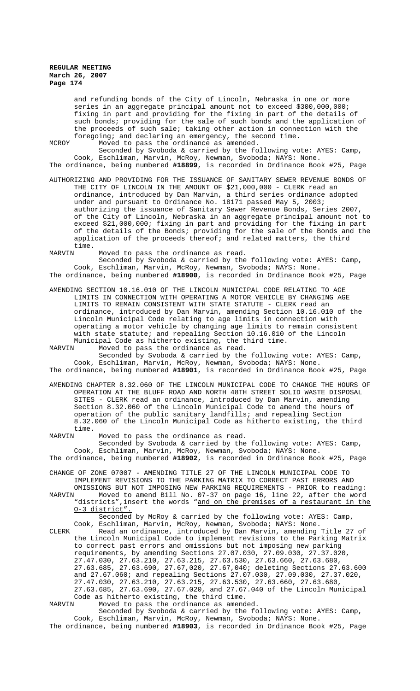and refunding bonds of the City of Lincoln, Nebraska in one or more series in an aggregate principal amount not to exceed \$300,000,000; fixing in part and providing for the fixing in part of the details of such bonds; providing for the sale of such bonds and the application of the proceeds of such sale; taking other action in connection with the foregoing; and declaring an emergency, the second time.

MCROY Moved to pass the ordinance as amended.

Seconded by Svoboda & carried by the following vote: AYES: Camp, Cook, Eschliman, Marvin, McRoy, Newman, Svoboda; NAYS: None. The ordinance, being numbered **#18899**, is recorded in Ordinance Book #25, Page

AUTHORIZING AND PROVIDING FOR THE ISSUANCE OF SANITARY SEWER REVENUE BONDS OF THE CITY OF LINCOLN IN THE AMOUNT OF \$21,000,000 - CLERK read an ordinance, introduced by Dan Marvin, a third series ordinance adopted under and pursuant to Ordinance No. 18171 passed May 5, 2003; authorizing the issuance of Sanitary Sewer Revenue Bonds, Series 2007, of the City of Lincoln, Nebraska in an aggregate principal amount not to exceed \$21,000,000; fixing in part and providing for the fixing in part of the details of the Bonds; providing for the sale of the Bonds and the application of the proceeds thereof; and related matters, the third

time.<br>MARVIN Moved to pass the ordinance as read.

Seconded by Svoboda & carried by the following vote: AYES: Camp, Cook, Eschliman, Marvin, McRoy, Newman, Svoboda; NAYS: None. The ordinance, being numbered **#18900**, is recorded in Ordinance Book #25, Page

AMENDING SECTION 10.16.010 OF THE LINCOLN MUNICIPAL CODE RELATING TO AGE LIMITS IN CONNECTION WITH OPERATING A MOTOR VEHICLE BY CHANGING AGE LIMITS TO REMAIN CONSISTENT WITH STATE STATUTE - CLERK read an ordinance, introduced by Dan Marvin, amending Section 10.16.010 of the Lincoln Municipal Code relating to age limits in connection with operating a motor vehicle by changing age limits to remain consistent with state statute; and repealing Section 10.16.010 of the Lincoln Municipal Code as hitherto existing, the third time.

MARVIN Moved to pass the ordinance as read. Seconded by Svoboda & carried by the following vote: AYES: Camp, Cook, Eschliman, Marvin, McRoy, Newman, Svoboda; NAYS: None.

The ordinance, being numbered **#18901**, is recorded in Ordinance Book #25, Page

AMENDING CHAPTER 8.32.060 OF THE LINCOLN MUNICIPAL CODE TO CHANGE THE HOURS OF OPERATION AT THE BLUFF ROAD AND NORTH 48TH STREET SOLID WASTE DISPOSAL SITES - CLERK read an ordinance, introduced by Dan Marvin, amending Section 8.32.060 of the Lincoln Municipal Code to amend the hours of operation of the public sanitary landfills; and repealing Section 8.32.060 of the Lincoln Municipal Code as hitherto existing, the third time.<br>MARVIN

Moved to pass the ordinance as read. Seconded by Svoboda & carried by the following vote: AYES: Camp, Cook, Eschliman, Marvin, McRoy, Newman, Svoboda; NAYS: None. The ordinance, being numbered **#18902**, is recorded in Ordinance Book #25, Page

CHANGE OF ZONE 07007 - AMENDING TITLE 27 OF THE LINCOLN MUNICIPAL CODE TO IMPLEMENT REVISIONS TO THE PARKING MATRIX TO CORRECT PAST ERRORS AND

OMISSIONS BUT NOT IMPOSING NEW PARKING REQUIREMENTS - PRIOR to reading:<br>MARVIN Moved to amend Bill No. 07-37 on page 16, line 22, after the word MARVIN Moved to amend Bill No. 07-37 on page 16, line 22, after the word "districts", insert the words "and on the premises of a restaurant in the O-3 district".

Seconded by McRoy & carried by the following vote: AYES: Camp, Cook, Eschliman, Marvin, McRoy, Newman, Svoboda; NAYS: None.

CLERK Read an ordinance, introduced by Dan Marvin, amending Title 27 of the Lincoln Municipal Code to implement revisions to the Parking Matrix to correct past errors and omissions but not imposing new parking requirements, by amending Sections 27.07.030, 27.09.030, 27.37.020, 27.47.030, 27.63.210, 27.63.215, 27.63.530, 27.63.660, 27.63.680, 27.63.685, 27.63.690, 27.67,020, 27.67,040; deleting Sections 27.63.600 and 27.67.060; and repealing Sections 27.07.030, 27.09.030, 27.37.020, 27.47.030, 27.63.210, 27.63.215, 27.63.530, 27.63.660, 27.63.680, 27.63.685, 27.63.690, 27.67.020, and 27.67.040 of the Lincoln Municipal Code as hitherto existing, the third time.<br>MARVIN Moved to pass the ordinance as amend

MARVIN Moved to pass the ordinance as amended.

Seconded by Svoboda & carried by the following vote: AYES: Camp, Cook, Eschliman, Marvin, McRoy, Newman, Svoboda; NAYS: None. The ordinance, being numbered **#18903**, is recorded in Ordinance Book #25, Page